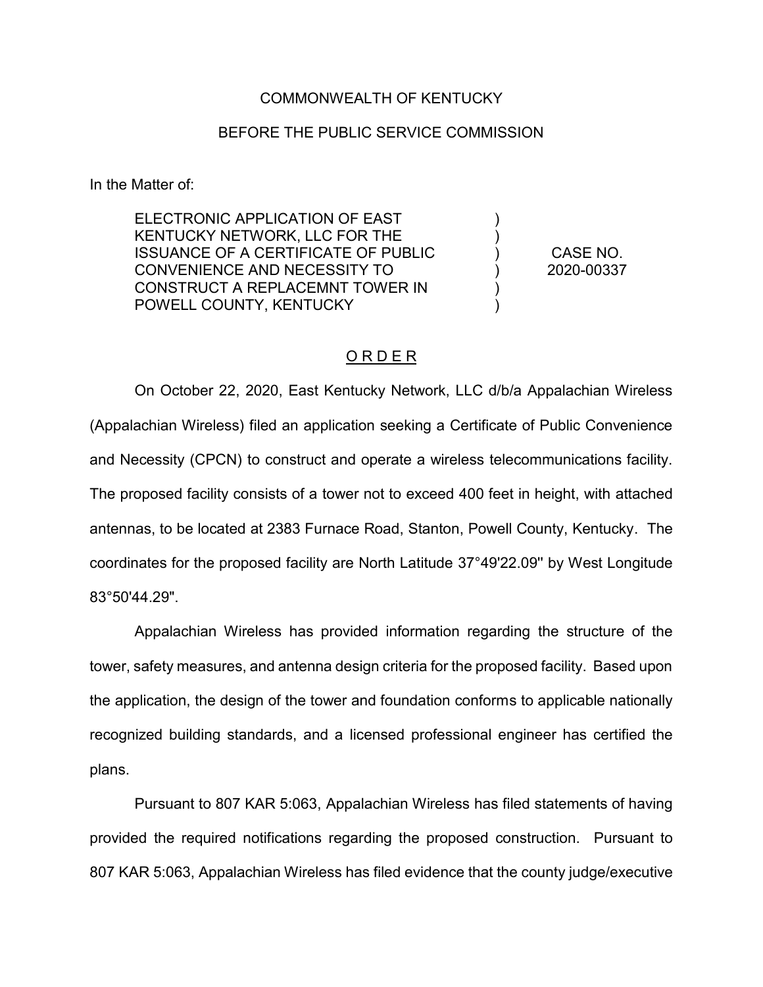## COMMONWEALTH OF KENTUCKY

## BEFORE THE PUBLIC SERVICE COMMISSION

In the Matter of:

ELECTRONIC APPLICATION OF EAST KENTUCKY NETWORK, LLC FOR THE ISSUANCE OF A CERTIFICATE OF PUBLIC CONVENIENCE AND NECESSITY TO CONSTRUCT A REPLACEMNT TOWER IN POWELL COUNTY, KENTUCKY

CASE NO. 2020-00337

) ) ) ) ) )

## O R D E R

On October 22, 2020, East Kentucky Network, LLC d/b/a Appalachian Wireless (Appalachian Wireless) filed an application seeking a Certificate of Public Convenience and Necessity (CPCN) to construct and operate a wireless telecommunications facility. The proposed facility consists of a tower not to exceed 400 feet in height, with attached antennas, to be located at 2383 Furnace Road, Stanton, Powell County, Kentucky. The coordinates for the proposed facility are North Latitude 37°49'22.09'' by West Longitude 83°50'44.29".

Appalachian Wireless has provided information regarding the structure of the tower, safety measures, and antenna design criteria for the proposed facility. Based upon the application, the design of the tower and foundation conforms to applicable nationally recognized building standards, and a licensed professional engineer has certified the plans.

Pursuant to 807 KAR 5:063, Appalachian Wireless has filed statements of having provided the required notifications regarding the proposed construction. Pursuant to 807 KAR 5:063, Appalachian Wireless has filed evidence that the county judge/executive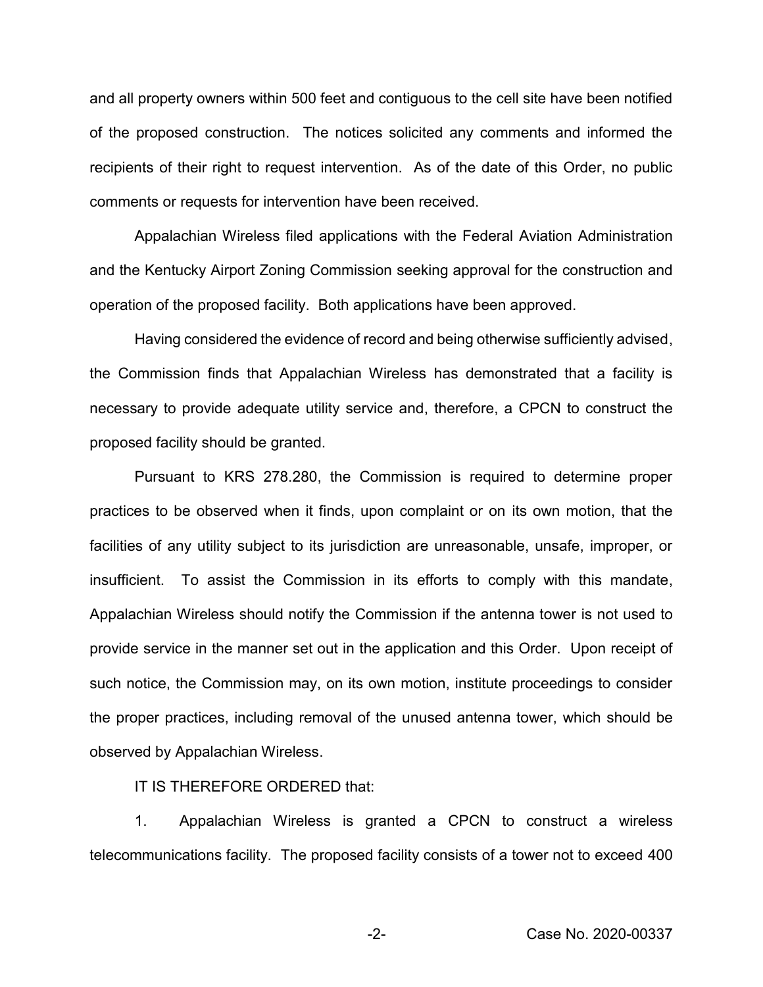and all property owners within 500 feet and contiguous to the cell site have been notified of the proposed construction. The notices solicited any comments and informed the recipients of their right to request intervention. As of the date of this Order, no public comments or requests for intervention have been received.

Appalachian Wireless filed applications with the Federal Aviation Administration and the Kentucky Airport Zoning Commission seeking approval for the construction and operation of the proposed facility. Both applications have been approved.

Having considered the evidence of record and being otherwise sufficiently advised, the Commission finds that Appalachian Wireless has demonstrated that a facility is necessary to provide adequate utility service and, therefore, a CPCN to construct the proposed facility should be granted.

Pursuant to KRS 278.280, the Commission is required to determine proper practices to be observed when it finds, upon complaint or on its own motion, that the facilities of any utility subject to its jurisdiction are unreasonable, unsafe, improper, or insufficient. To assist the Commission in its efforts to comply with this mandate, Appalachian Wireless should notify the Commission if the antenna tower is not used to provide service in the manner set out in the application and this Order. Upon receipt of such notice, the Commission may, on its own motion, institute proceedings to consider the proper practices, including removal of the unused antenna tower, which should be observed by Appalachian Wireless.

IT IS THEREFORE ORDERED that:

1. Appalachian Wireless is granted a CPCN to construct a wireless telecommunications facility. The proposed facility consists of a tower not to exceed 400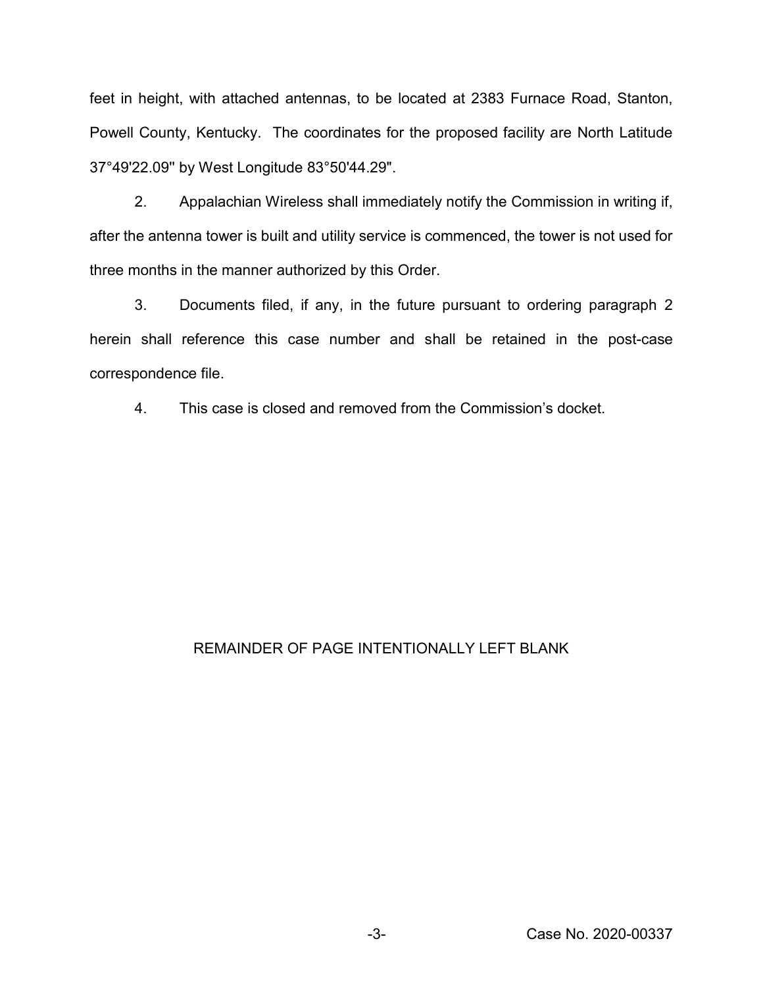feet in height, with attached antennas, to be located at 2383 Furnace Road, Stanton, Powell County, Kentucky. The coordinates for the proposed facility are North Latitude 37°49'22.09'' by West Longitude 83°50'44.29".

2. Appalachian Wireless shall immediately notify the Commission in writing if, after the antenna tower is built and utility service is commenced, the tower is not used for three months in the manner authorized by this Order.

3. Documents filed, if any, in the future pursuant to ordering paragraph 2 herein shall reference this case number and shall be retained in the post-case correspondence file.

4. This case is closed and removed from the Commission's docket.

## REMAINDER OF PAGE INTENTIONALLY LEFT BLANK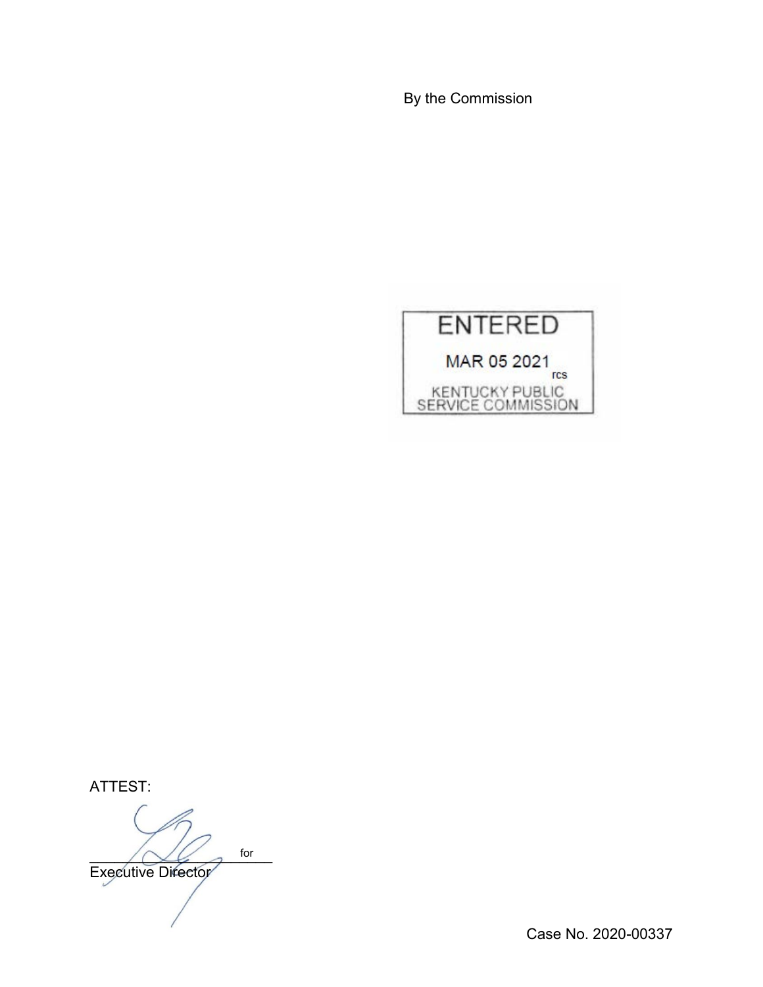By the Commission



ATTEST:

 $\bigwedge \bigvee \bigvee$  for Executive Director for

Case No. 2020-00337